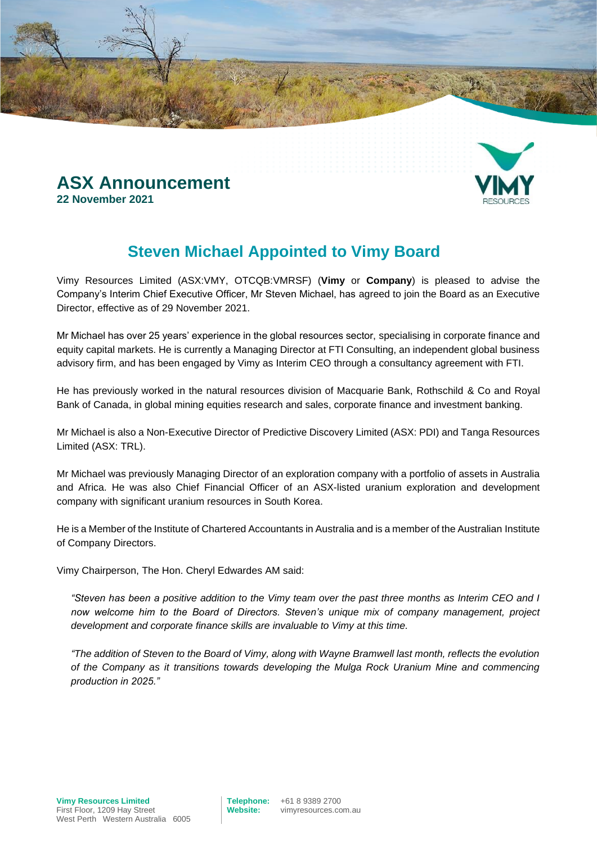

### **ASX Announcement 22 November 2021**

## **Steven Michael Appointed to Vimy Board**

Vimy Resources Limited (ASX:VMY, OTCQB:VMRSF) (**Vimy** or **Company**) is pleased to advise the Company's Interim Chief Executive Officer, Mr Steven Michael, has agreed to join the Board as an Executive Director, effective as of 29 November 2021.

Mr Michael has over 25 years' experience in the global resources sector, specialising in corporate finance and equity capital markets. He is currently a Managing Director at FTI Consulting, an independent global business advisory firm, and has been engaged by Vimy as Interim CEO through a consultancy agreement with FTI.

He has previously worked in the natural resources division of Macquarie Bank, Rothschild & Co and Royal Bank of Canada, in global mining equities research and sales, corporate finance and investment banking.

Mr Michael is also a Non-Executive Director of Predictive Discovery Limited (ASX: PDI) and Tanga Resources Limited (ASX: TRL).

Mr Michael was previously Managing Director of an exploration company with a portfolio of assets in Australia and Africa. He was also Chief Financial Officer of an ASX-listed uranium exploration and development company with significant uranium resources in South Korea.

He is a Member of the Institute of Chartered Accountants in Australia and is a member of the Australian Institute of Company Directors.

Vimy Chairperson, The Hon. Cheryl Edwardes AM said:

*"Steven has been a positive addition to the Vimy team over the past three months as Interim CEO and I now welcome him to the Board of Directors. Steven's unique mix of company management, project development and corporate finance skills are invaluable to Vimy at this time.*

*"The addition of Steven to the Board of Vimy, along with Wayne Bramwell last month, reflects the evolution of the Company as it transitions towards developing the Mulga Rock Uranium Mine and commencing production in 2025."*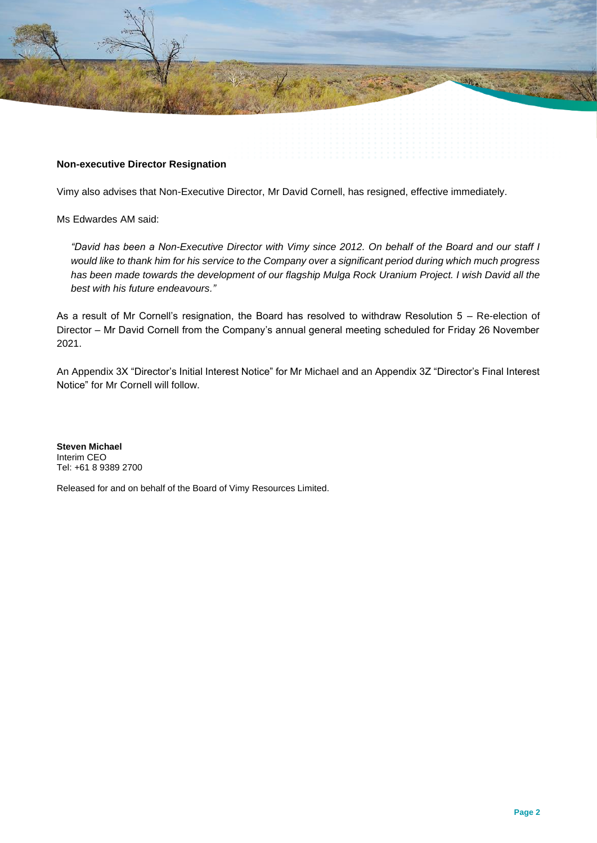

### **Non-executive Director Resignation**

Vimy also advises that Non-Executive Director, Mr David Cornell, has resigned, effective immediately.

Ms Edwardes AM said:

*"David has been a Non-Executive Director with Vimy since 2012. On behalf of the Board and our staff I would like to thank him for his service to the Company over a significant period during which much progress has been made towards the development of our flagship Mulga Rock Uranium Project. I wish David all the best with his future endeavours."*

As a result of Mr Cornell's resignation, the Board has resolved to withdraw Resolution 5 – Re-election of Director – Mr David Cornell from the Company's annual general meeting scheduled for Friday 26 November 2021.

An Appendix 3X "Director's Initial Interest Notice" for Mr Michael and an Appendix 3Z "Director's Final Interest Notice" for Mr Cornell will follow.

**Steven Michael** Interim CEO Tel: +61 8 9389 2700

Released for and on behalf of the Board of Vimy Resources Limited.